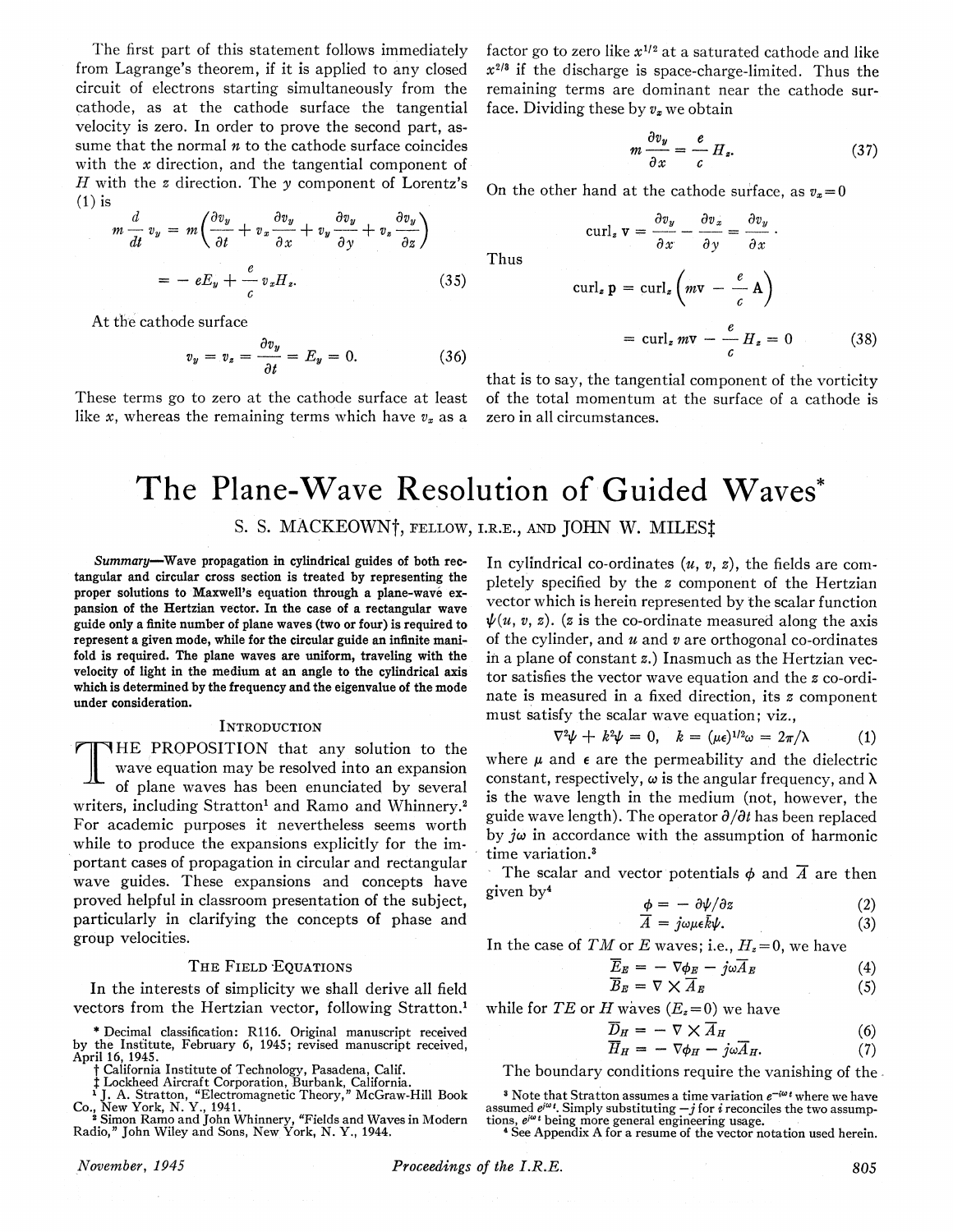The first part of this statement follows immediately from Lagrange's theorem, if it is applied to any closed circuit of electrons starting simultaneously from the cathode, as at the cathode surface the tangential velocity is zero. In order to prove the second part, assume that the normal  $n$  to the cathode surface coincides with the x direction, and the tangential component of  $H$  with the  $z$  direction. The  $y$  component of Lorentz's  $(1)$  is

$$
m\frac{d}{dt}v_y = m\left(\frac{\partial v_y}{\partial t} + v_x \frac{\partial v_y}{\partial x} + v_y \frac{\partial v_y}{\partial y} + v_z \frac{\partial v_y}{\partial z}\right)
$$
  
= 
$$
-eE_y + \frac{e}{c}v_x H_z.
$$
 (35)

At the cathode surface

$$
v_y = v_z = \frac{\partial v_y}{\partial t} = E_y = 0. \tag{36}
$$

These terms go to zero at the cathode surface at least like x, whereas the remaining terms which have  $v_x$  as a factor go to zero like  $x^{1/2}$  at a saturated cathode and like  $x^{2/8}$  if the discharge is space-charge-limited. Thus the remaining terms are dominant near the cathode surface. Dividing these by  $v_x$  we obtain

$$
m\,\frac{\partial v_y}{\partial x} = \frac{e}{c}\,H_z.\tag{37}
$$

On the other hand at the cathode surface, as  $v_x=0$ 

curl<sub>z</sub>  $\mathbf{v} = \frac{\partial v_y}{\partial x} - \frac{\partial v_x}{\partial y} = \frac{\partial v_y}{\partial x}$ 

Thus

$$
\operatorname{curl}_z \mathbf{p} = \operatorname{curl}_z \left( m \mathbf{v} - \frac{e}{c} \mathbf{A} \right)
$$

$$
= \operatorname{curl}_z m \mathbf{v} - \frac{e}{c} H_z = 0 \qquad (38)
$$

that is to say, the tangential component of the vorticity of the total momentum at the surface of a cathode is zero in all circumstances.

# The Plane-Wave Resolution of Guided Waves\*

## S. S. MACKEOWN<sup>†</sup>, FELLOW, I.R.E., AND JOHN W. MILES<sup>†</sup>

Summary-Wave propagation in cylindrical guides of both rectangular and circular cross section is treated by representing the proper solutions to Maxwell's equation through a plane-wave expansion of the Hertzian vector. In the case of a rectangular wave guide only a finite number of plane waves (two or four) is required to represent a given mode, while for the circular guide an infinite manifold is required. The plane waves are uniform, traveling with the velocity of light in the medium at an angle to the cylindrical axis which is determined by the frequency and the eigenvalue of the mode under consideration.

#### **INTRODUCTION**

THE PROPOSITION that any solution to the wave equation may be resolved into an expansion of plane waves has been enunciated by several writers, including Stratton' and Ramo and Whinnery.2 For academic purposes it nevertheless seems worth while to produce the expansions explicitly for the important cases of propagation in circular and rectangular wave guides. These expansions and concepts have proved helpful in classroom presentation of the subject, particularly in clarifying the concepts of phase and group velocities.

#### THE FIELD EQUATIONS

In the interests of simplicity we shall derive all field vectors from the Hertzian vector, following Stratton.'

\* Decimal classification: R116. Original manuscript received by the Institute, February 6, 1945; revised manuscript received, April 16, 1945.

T California Institute of Technology, Pasadena, Calif.<br>
‡ Lockheed Aircraft Corporation, Burbank, California.<br>
<sup>1</sup> J. A. Stratton, "Electromagnetic Theory," McGraw-Hill Book<br>
Co., New York, N. Y., 1941.<br>
<sup>2</sup> Simon Ramo and

In cylindrical co-ordinates  $(u, v, z)$ , the fields are completely specified by the <sup>z</sup> component of the Hertzian vector which is herein represented by the scalar function  $\psi(u, v, z)$ . (z is the co-ordinate measured along the axis of the cylinder, and  $u$  and  $v$  are orthogonal co-ordinates in a plane of constant z.) Inasmuch as the Hertzian vector satisfies the vector wave equation and the <sup>z</sup> co-ordinate is measured in a fixed direction, its  $z$  component must satisfy the scalar wave equation; viz.,

$$
\nabla^2 \psi + k^2 \psi = 0, \quad k = (\mu \epsilon)^{1/2} \omega = 2\pi/\lambda \tag{1}
$$

where  $\mu$  and  $\epsilon$  are the permeability and the dielectric constant, respectively,  $\omega$  is the angular frequency, and  $\lambda$ is the wave length in the medium (not, however, the guide wave length). The operator  $\partial/\partial t$  has been replaced by  $j\omega$  in accordance with the assumption of harmonic time variation.<sup>3</sup>

The scalar and vector potentials  $\phi$  and  $\overline{A}$  are then given by<sup>4</sup>  $\phi = - \partial \psi / \partial z$  (2)

$$
\phi = -\partial \psi / \partial z \tag{2}
$$

$$
\overline{A} = j\omega\mu\epsilon\overline{k}\psi. \tag{3}
$$

In the case of TM or E waves; i.e.,  $H_z = 0$ , we have

$$
\overline{E}_E = -\nabla \phi_E - j\omega \overline{A}_E \tag{4}
$$

$$
\overline{B}_E = \nabla \times \overline{A}_E \tag{5}
$$

while for TE or H waves  $(E_z=0)$  we have

$$
\overline{D}_H = -\nabla \times \overline{A}_H \tag{6}
$$

$$
\overline{H}_H = -\nabla \phi_H - j\omega \overline{A}_H. \tag{7}
$$

The boundary conditions require the vanishing of the.

<sup>4</sup> See Appendix A for <sup>a</sup> resume of the vector notation used herein.

<sup>&</sup>lt;sup>3</sup> Note that Stratton assumes a time variation  $e^{-i\omega t}$  where we have assumed e<sup>jw</sup>!. Simply substituting —*j* for *i* reconciles the two assump-<br>tions, e<sup>jw</sup>' being more general engineering usage.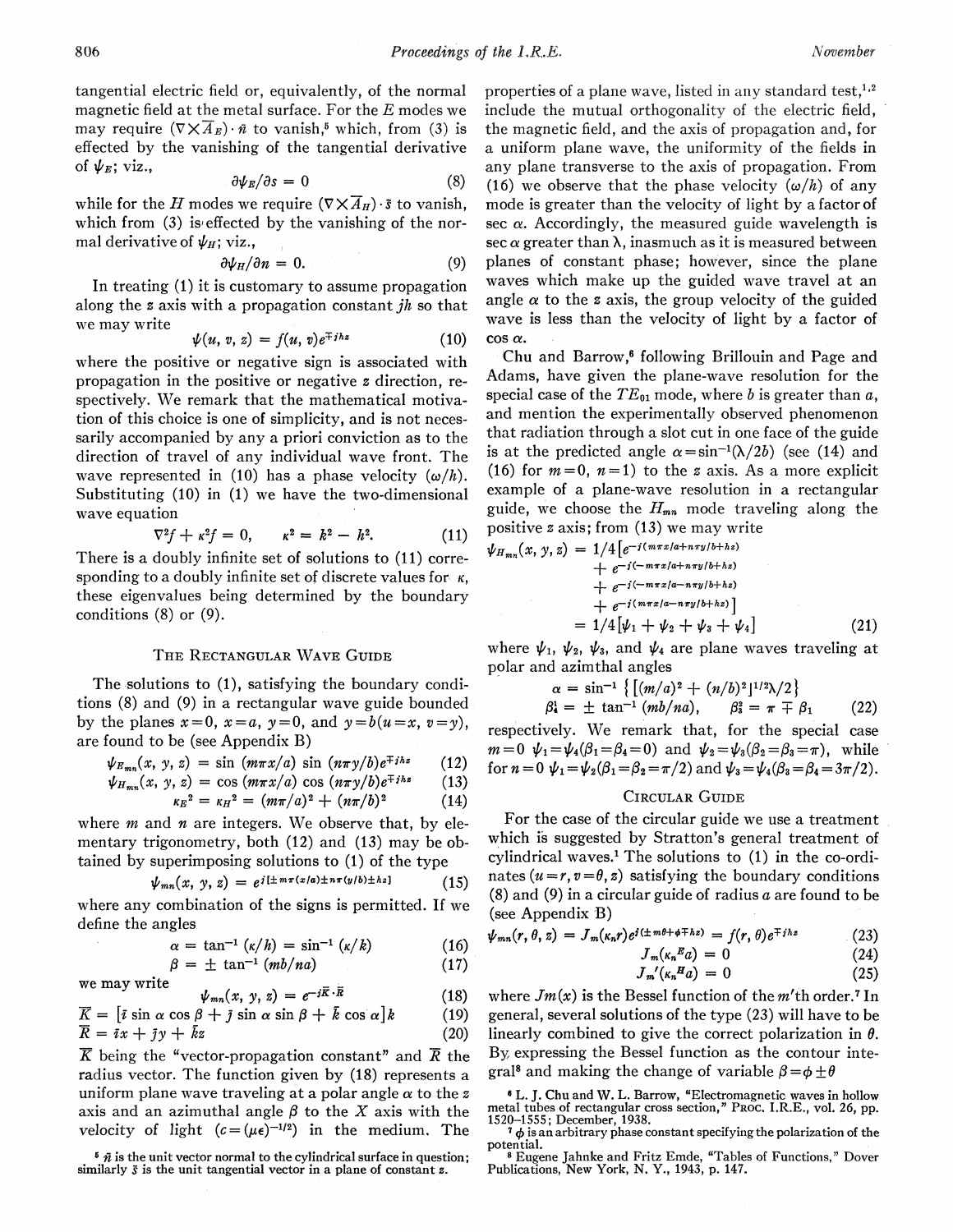tangential electric field or, equivalently, of the normal magnetic field at the metal surface. For the  $E$  modes we may require  $(\nabla \times \overline{A}_E) \cdot \overline{n}$  to vanish,<sup>5</sup> which, from (3) is effected by the vanishing of the tangential derivative of  $\psi_E$ ; viz.,

$$
\partial \psi_E / \partial s = 0 \tag{8}
$$

while for the H modes we require  $(\nabla \times \overline{A}_{H}) \cdot \overline{s}$  to vanish, which from  $(3)$  is effected by the vanishing of the normal derivative of  $\psi_H$ ; viz.,

$$
\partial \psi_H / \partial n = 0. \tag{9}
$$

In treating (1) it is customary to assume propagation along the z axis with a propagation constant jh so that we may write

$$
\psi(u, v, z) = f(u, v)e^{\mp jhz} \tag{10}
$$

where the positive or negative sign is associated with propagation in the positive or negative z direction, respectively. We remark that the mathematical motivation of this choice is one of simplicity, and is not necessarily accompanied by any a priori conviction as to the direction of travel of any individual wave front. The wave represented in (10) has a phase velocity  $(\omega/h)$ . Substituting (10) in (1) we have the two-dimensional wave equation

$$
\nabla^2 f + \kappa^2 f = 0, \qquad \kappa^2 = k^2 - h^2. \tag{11}
$$

There is a doubly infinite set of solutions to (11) corresponding to a doubly infinite set of discrete values for  $\kappa$ , these eigenvalues being determined by the boundary conditions (8) or (9).

#### THE RECTANGULAR WAVE GUIDE.

The solutions to (1), satisfying the boundary conditions (8) and (9) in a rectangular wave guide bounded by the planes  $x=0$ ,  $x=a$ ,  $y=0$ , and  $y=b(u=x, v=y)$ , are found to be (see Appendix B)

$$
\psi_{E_{mn}}(x, y, z) = \sin(m\pi x/a) \sin(n\pi y/b) e^{\mp jhz} \qquad (12)
$$

$$
\psi_{H_{mn}}(x, y, z) = \cos(m\pi x/a) \cos(n\pi y/b) e^{\mp jhz} \qquad (13)
$$

$$
\kappa_E^2 = \kappa_H^2 = (m\pi/a)^2 + (n\pi/b)^2 \tag{14}
$$

where  $m$  and  $n$  are integers. We observe that, by elementary trigonometry, both (12) and (13) may be obtained by superimposing solutions to (1) of the type

$$
\psi_{mn}(x, y, z) = e^{i[\pm m\pi(x/a)\pm n\pi(y/b)\pm hz]} \qquad (15)
$$

where any combination of the signs is permitted. If we define the angles

$$
\alpha = \tan^{-1} \left( \frac{\kappa}{h} \right) = \sin^{-1} \left( \frac{\kappa}{k} \right) \tag{16}
$$

$$
\beta = \pm \tan^{-1} (mb/na) \qquad (17)
$$

we may write 
$$
\psi_{mn}(x, y, z) = e^{-i\vec{R}\cdot\vec{R}}
$$
 (18)

$$
\overline{K} = [\overline{\imath} \sin \alpha \cos \beta + \overline{\jmath} \sin \alpha \sin \beta + \overline{k} \cos \alpha]k \qquad (19)
$$

$$
\overline{R} = i x + j y + k z \tag{20}
$$

 $\overline{K}$  being the "vector-propagation constant" and  $\overline{R}$  the radius vector. The function given by (18) represents a uniform plane wave traveling at a polar angle  $\alpha$  to the z axis and an azimuthal angle  $\beta$  to the X axis with the velocity of light  $(c = (\mu \epsilon)^{-1/2})$  in the medium. The

 $\bar{\theta}$   $\bar{n}$  is the unit vector normal to the cylindrical surface in question; similarly  $\bar{s}$  is the unit tangential vector in a plane of constant  $z$ .

properties of a plane wave, listed in any standard test,<sup>1,2</sup> include the mutual orthogonality of the electric field, the magnetic field, and the axis of propagation and, for a uniform plane wave, the uniformity of the fields in any plane transverse to the axis of propagation. From (16) we observe that the phase velocity  $(\omega/h)$  of any mode is greater than the velocity of light by a factor of sec  $\alpha$ . Accordingly, the measured guide wavelength is sec  $\alpha$  greater than  $\lambda$ , inasmuch as it is measured between planes of constant phase; however, since the plane waves which make up the guided wave travel at an angle  $\alpha$  to the z axis, the group velocity of the guided wave is less than the velocity of light by a factor of  $\cos \alpha$ .

Chu and Barrow,<sup>6</sup> following Brillouin and Page and Adams, have given the plane-wave resolution for the special case of the  $TE_{01}$  mode, where b is greater than a, and mention the experimentally observed phenomenon that radiation through a slot cut in one face of the guide is at the predicted angle  $\alpha = \sin^{-1}(\lambda/2b)$  (see (14) and (16) for  $m=0$ ,  $n=1$ ) to the z axis. As a more explicit example of a plane-wave resolution in a rectangular guide, we choose the  $H_{mn}$  mode traveling along the positive <sup>z</sup> axis; from (13) we may write

$$
\psi_{H_{mn}}(x, y, z) = 1/4 \left[ e^{-j(m\pi x/a + n\pi y/b + hz)} + e^{-j(-m\pi x/a + n\pi y/b + hz)} \right. \n+ e^{-j(-m\pi x/a - n\pi y/b + hz)} \n+ e^{-j(m\pi x/a - n\pi y/b + hz)} \left. \right]
$$
\n
$$
= 1/4 \left[ \psi_1 + \psi_2 + \psi_3 + \psi_4 \right] \tag{21}
$$

where  $\psi_1, \psi_2, \psi_3$ , and  $\psi_4$  are plane waves traveling at polar and azimthal angles

$$
\alpha = \sin^{-1}\left\{ \left[ (m/a)^2 + (n/b)^2 \right]^{1/2} \lambda / 2 \right\} \n\Omega = \pm \tan^{-1} (mb/na), \qquad \beta_3^2 = \pi \mp \beta_1 \qquad (22)
$$

respectively. We remark that, for the special case  $m=0$   $\psi_1=\psi_4(\beta_1=\beta_4=0)$  and  $\psi_2=\psi_3(\beta_2=\beta_3=\pi)$ , while for  $n=0$   $\psi_1 = \psi_2(\beta_1 = \beta_2 = \pi/2)$  and  $\psi_3 = \psi_4(\beta_3 = \beta_4 = 3\pi/2)$ .

#### CIRCULAR GUIDE

For the case of the circular guide we use a treatment which is suggested by Stratton's general treatment of cylindrical waves.' The solutions to (1) in the co-ordinates ( $u = r, v = \theta, z$ ) satisfying the boundary conditions  $(8)$  and  $(9)$  in a circular guide of radius a are found to be (see Appendix B)

$$
\psi_{mn}(r,\theta,z)=J_m(\kappa_n r)e^{i(\pm m\theta+\phi\mp hz)}=f(r,\theta)e^{\mp jhz} \qquad (23)
$$

$$
J_m(\kappa_n^E a) = 0 \tag{24}
$$

$$
J_m'(\kappa_n H_a) = 0 \tag{25}
$$

where  $Jm(x)$  is the Bessel function of the m'th order.<sup>7</sup> In general, several solutions of the type (23) will have to be linearly combined to give the correct polarization in  $\theta$ . By expressing the Bessel function as the contour integral<sup>8</sup> and making the change of variable  $\beta = \phi \pm \theta$ 

 $7\phi$  is an arbitrary phase constant specifying the polarization of the

potential. <sup>8</sup> Eugene Jahnke and Fritz Emde, "Tables of Functions," Dover Publications, New York, N. Y., 1943, p. 147.

<sup>I</sup> L. J. Chu and W. L. Barrow, "Electromagnetic waves in hollow metal tubes of rectangular cross section," PROC. I.R.E., vol. 26, pp. 1520-1555; December, 1938.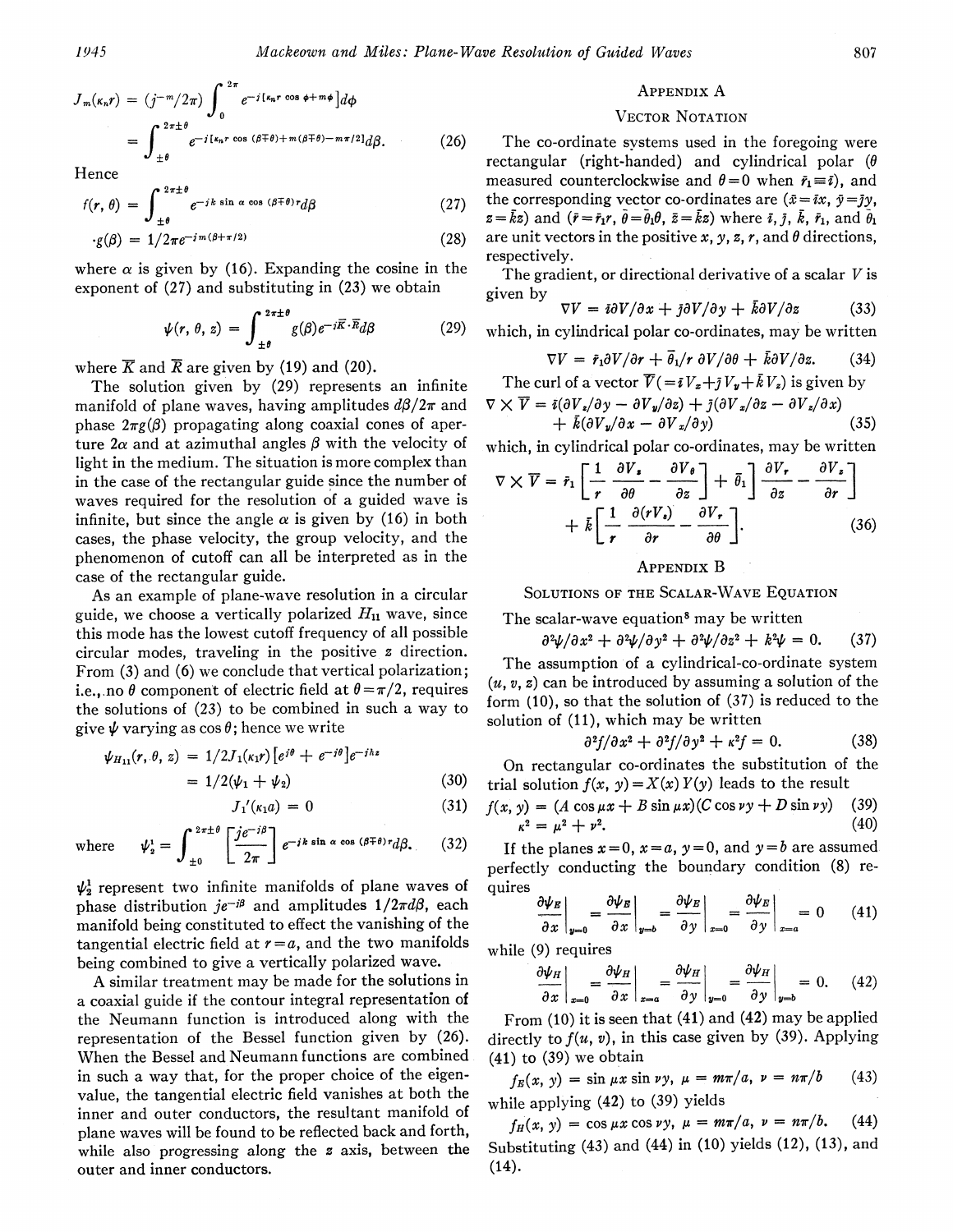$$
J_m(\kappa_n r) = (j^{-m}/2\pi) \int_0^{2\pi} e^{-j[\kappa_n r \cos \phi + m\phi]} d\phi
$$
  
= 
$$
\int_{\pm \theta}^{2\pi \pm \theta} e^{-j[\kappa_n r \cos (\beta \mp \theta) + m(\beta \mp \theta) - m\pi/2]} d\beta.
$$
 (26)

Hence

$$
f(r,\,\theta) \,=\, \int_{\,\pm\,\theta}^{\,\,2\,\pi\pm\,\theta} e^{-\,j\,k\,\sin\,\alpha\,\cos\,\left(\,\beta\,\mp\,\theta\,\right)\,r} d\beta \tag{27}
$$

$$
g(\beta) = 1/2\pi e^{-j m(\beta + \pi/2)}
$$
 (28)

where  $\alpha$  is given by (16). Expanding the cosine in the exponent of (27) and substituting in (23) we obtain

$$
\psi(r, \theta, z) = \int_{\pm \theta}^{2\pi \pm \theta} g(\beta) e^{-j\vec{K} \cdot \vec{R}} d\beta \qquad (29)
$$

where  $\overline{K}$  and  $\overline{R}$  are given by (19) and (20).

The solution given by (29) represents an infinite manifold of plane waves, having amplitudes  $d\beta/2\pi$  and phase  $2\pi g(\beta)$  propagating along coaxial cones of aperture  $2\alpha$  and at azimuthal angles  $\beta$  with the velocity of light in the medium. The situation is more complex than in the case of the rectangular guide since the number of waves required for the resolution of a guided wave is infinite, but since the angle  $\alpha$  is given by (16) in both cases, the phase velocity, the group velocity, and the phenomenon of cutoff can all be interpreted as in the case of the rectangular guide.

As an example of plane-wave resolution in a circular guide, we choose a vertically polarized  $H_{11}$  wave, since this mode has the lowest cutoff frequency of all possible circular modes, traveling in the positive. z direction. From (3) and (6) we conclude that vertical polarization; i.e., no  $\theta$  component of electric field at  $\theta = \pi/2$ , requires the solutions of (23) to be combined in such a way to give  $\psi$  varying as cos  $\theta$ ; hence we write

$$
\psi_{H_{11}}(r, \theta, z) = 1/2J_1(\kappa_1 r) \left[e^{i\theta} + e^{-i\theta}\right] e^{-j\hbar z} \n= 1/2(\psi_1 + \psi_2)
$$
\n(30)

$$
J_1'(\kappa_1 a) = 0 \tag{31}
$$

where 
$$
\psi_z^i = \int_{\pm 0}^{2\pi \pm \theta} \left[ \frac{je^{-j\beta}}{2\pi} \right] e^{-jk \sin \alpha \cos (\beta \mp \theta) r} d\beta.
$$
 (32)

 $\psi_2^1$  represent two infinite manifolds of plane waves of phase distribution  $je^{-i\beta}$  and amplitudes  $1/2\pi d\beta$ , each manifold being constituted to effect the vanishing of the tangential electric field at  $r = a$ , and the two manifolds being combined to give a vertically polarized wave.

A similar treatment may be made for the solutions in a coaxial guide if the contour integral representation of the Neumann function is introduced along with the representation of the Bessel function given by (26). When the Bessel and Neumann functions are combined in such a way that, for the proper choice of the eigenvalue, the tangential electric field vanishes at both the inner and outer conductors, the resultant manifold of plane waves will be found to be reflected back and forth, while also progressing along the z axis, between the outer and inner conductors.

#### APPENDIX A

#### VECTOR NOTATION

The co-ordinate svstems used in the foregoing were rectangular (right-handed) and cylindrical polar ( $\theta$ measured counterclockwise and  $\theta = 0$  when  $\bar{r}_1 \equiv \bar{i}$ ), and the corresponding vector co-ordinates are  $(\bar{x} = i x, \bar{y} = j y,$  $z=\bar{k}z$ ) and  $(\bar{r}=\bar{r}_1r, \bar{\theta}=\bar{\theta}_1\theta, \bar{z}=\bar{k}z)$  where  $\bar{i}, \bar{j}, \bar{k}, \bar{r}_1$ , and  $\bar{\theta}_1$ are unit vectors in the positive x, y, z, r, and  $\theta$  directions, respectively.

The gradient, or directional derivative of a scalar  $V$  is given by

$$
\nabla V = i\partial V/\partial x + j\partial V/\partial y + k\partial V/\partial z \qquad (33)
$$

which, in cylindrical polar co-ordinates, may be written

$$
\nabla V = \bar{r}_1 \partial V / \partial r + \bar{\theta}_1 / r \partial V / \partial \theta + \bar{k} \partial V / \partial z.
$$
 (34)

The curl of a vector  $\overline{V}(-iV_x+jV_y+\overline{k}V_z)$  is given by

$$
\nabla \times \overline{V} = \overline{i} (\partial V_z / \partial y - \partial V_y / \partial z) + \overline{j} (\partial V_x / \partial z - \partial V_z / \partial x) + \overline{k} (\partial V_y / \partial x - \partial V_z / \partial y)
$$
(35)

which, in cylindrical polar co-ordinates, may be written

$$
\nabla \times \overline{V} = \bar{r}_1 \left[ \frac{1}{r} \frac{\partial V_z}{\partial \theta} - \frac{\partial V_{\theta}}{\partial z} \right] + \bar{\theta}_1 \left[ \frac{\partial V_r}{\partial z} - \frac{\partial V_z}{\partial r} \right] + \bar{k} \left[ \frac{1}{r} \frac{\partial (rV_s)}{\partial r} - \frac{\partial V_r}{\partial \theta} \right].
$$
 (36)

## APPENDIX B

SOLUTIONS OF THE SCALAR-WAVE EQUATION

The scalar-wave equation<sup>8</sup> may be written

$$
\frac{\partial^2 \psi}{\partial x^2} + \frac{\partial^2 \psi}{\partial y^2} + \frac{\partial^2 \psi}{\partial z^2} + k^2 \psi = 0. \quad (37)
$$

The assumption of a cylindrical-co-ordinate system  $(u, v, z)$  can be introduced by assuming a solution of the form (10), so that the solution of (37) is reduced to the solution of (11), which may be written

$$
\partial^2 f / \partial x^2 + \partial^2 f / \partial y^2 + \kappa^2 f = 0. \tag{38}
$$

On rectangular co-ord'inates the substitution of the trial solution  $f(x, y) = X(x) Y(y)$  leads to the result

$$
f(x, y) = (A \cos \mu x + B \sin \mu x)(C \cos \nu y + D \sin \nu y)
$$
 (39)  

$$
\kappa^{2} = \mu^{2} + \nu^{2}.
$$
 (40)

If the planes  $x=0$ ,  $x=a$ ,  $y=0$ , and  $y=b$  are assumed perfectly conducting the boundary condition (8) requires

$$
\left.\frac{\partial \psi_E}{\partial x}\right|_{y=0} = \left.\frac{\partial \psi_E}{\partial x}\right|_{y=b} = \left.\frac{\partial \psi_E}{\partial y}\right|_{x=0} = \left.\frac{\partial \psi_E}{\partial y}\right|_{x=a} = 0 \qquad (41)
$$

while (9) requires

$$
\left. \frac{\partial \psi_H}{\partial x} \right|_{x=0} = \left. \frac{\partial \psi_H}{\partial x} \right|_{x=a} = \left. \frac{\partial \psi_H}{\partial y} \right|_{y=0} = \left. \frac{\partial \psi_H}{\partial y} \right|_{y=b} = 0. \tag{42}
$$

From (10) it is seen that (41) and (42) may be applied directly to  $f(u, v)$ , in this case given by (39). Applying  $(41)$  to  $(39)$  we obtain

 $f_E(x, y) = \sin \mu x \sin \nu y$ ,  $\mu = m\pi/a$ ,  $\nu = n\pi/b$ while applying (42) to (39) yields (43)

 $f_H(x, y) = \cos \mu x \cos \nu y, \ \mu = m\pi/a, \ \nu = n\pi/b.$  (44) Substituting (43) and (44) in (10) yields (12), (13), and (14).